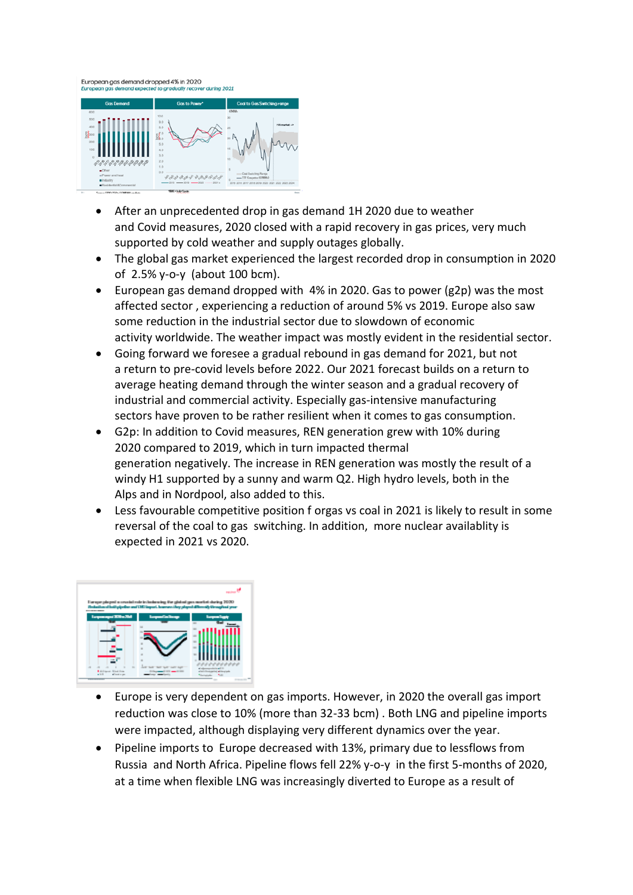

- After an unprecedented drop in gas demand 1H 2020 due to weather and Covid measures, 2020 closed with a rapid recovery in gas prices, very much supported by cold weather and supply outages globally.
- The global gas market experienced the largest recorded drop in consumption in 2020 of 2.5% y-o-y (about 100 bcm).
- European gas demand dropped with 4% in 2020. Gas to power (g2p) was the most affected sector , experiencing a reduction of around 5% vs 2019. Europe also saw some reduction in the industrial sector due to slowdown of economic activity worldwide. The weather impact was mostly evident in the residential sector.
- Going forward we foresee a gradual rebound in gas demand for 2021, but not a return to pre-covid levels before 2022. Our 2021 forecast builds on a return to average heating demand through the winter season and a gradual recovery of industrial and commercial activity. Especially gas-intensive manufacturing sectors have proven to be rather resilient when it comes to gas consumption.
- G2p: In addition to Covid measures, REN generation grew with 10% during 2020 compared to 2019, which in turn impacted thermal generation negatively. The increase in REN generation was mostly the result of a windy H1 supported by a sunny and warm Q2. High hydro levels, both in the Alps and in Nordpool, also added to this.
- Less favourable competitive position f orgas vs coal in 2021 is likely to result in some reversal of the coal to gas switching. In addition, more nuclear availablity is expected in 2021 vs 2020.



- Europe is very dependent on gas imports. However, in 2020 the overall gas import reduction was close to 10% (more than 32-33 bcm) . Both LNG and pipeline imports were impacted, although displaying very different dynamics over the year.
- Pipeline imports to Europe decreased with 13%, primary due to lessflows from Russia and North Africa. Pipeline flows fell 22% y-o-y in the first 5-months of 2020, at a time when flexible LNG was increasingly diverted to Europe as a result of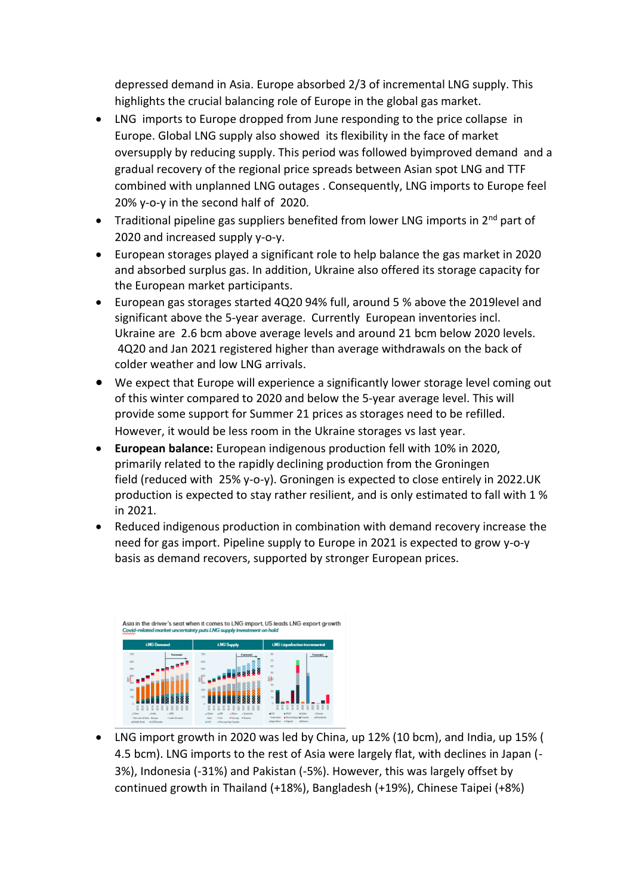depressed demand in Asia. Europe absorbed 2/3 of incremental LNG supply. This highlights the crucial balancing role of Europe in the global gas market.

- LNG imports to Europe dropped from June responding to the price collapse in Europe. Global LNG supply also showed its flexibility in the face of market oversupply by reducing supply. This period was followed byimproved demand and a gradual recovery of the regional price spreads between Asian spot LNG and TTF combined with unplanned LNG outages . Consequently, LNG imports to Europe feel 20% y-o-y in the second half of 2020.
- Traditional pipeline gas suppliers benefited from lower LNG imports in 2<sup>nd</sup> part of 2020 and increased supply y-o-y.
- European storages played a significant role to help balance the gas market in 2020 and absorbed surplus gas. In addition, Ukraine also offered its storage capacity for the European market participants.
- European gas storages started 4Q20 94% full, around 5 % above the 2019level and significant above the 5-year average. Currently European inventories incl. Ukraine are 2.6 bcm above average levels and around 21 bcm below 2020 levels. 4Q20 and Jan 2021 registered higher than average withdrawals on the back of colder weather and low LNG arrivals.
- We expect that Europe will experience a significantly lower storage level coming out of this winter compared to 2020 and below the 5-year average level. This will provide some support for Summer 21 prices as storages need to be refilled. However, it would be less room in the Ukraine storages vs last year.
- **European balance:** European indigenous production fell with 10% in 2020, primarily related to the rapidly declining production from the Groningen field (reduced with 25% y-o-y). Groningen is expected to close entirely in 2022.UK production is expected to stay rather resilient, and is only estimated to fall with 1 % in 2021.
- Reduced indigenous production in combination with demand recovery increase the need for gas import. Pipeline supply to Europe in 2021 is expected to grow y-o-y basis as demand recovers, supported by stronger European prices.



• LNG import growth in 2020 was led by China, up 12% (10 bcm), and India, up 15% ( 4.5 bcm). LNG imports to the rest of Asia were largely flat, with declines in Japan (- 3%), Indonesia (-31%) and Pakistan (-5%). However, this was largely offset by continued growth in Thailand (+18%), Bangladesh (+19%), Chinese Taipei (+8%)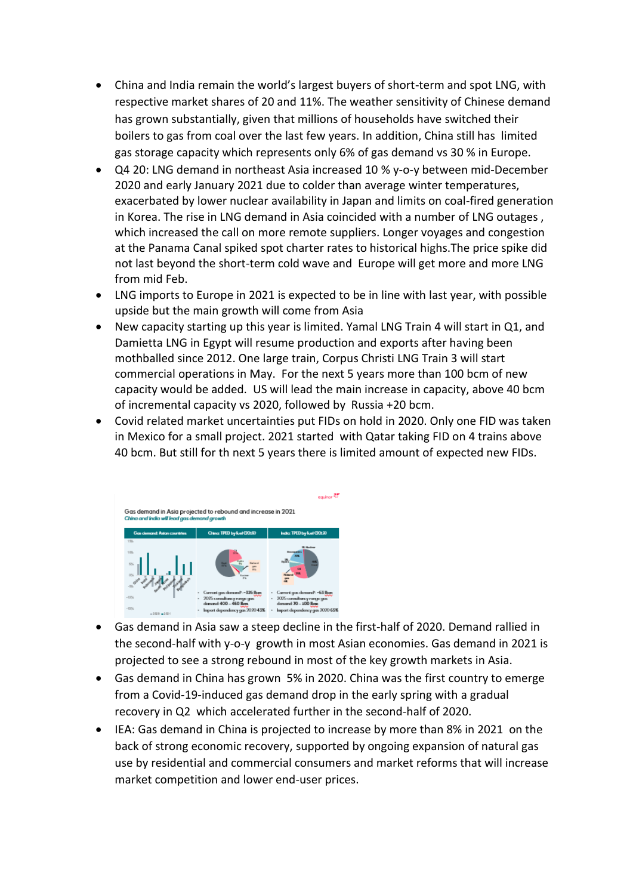- China and India remain the world's largest buyers of short-term and spot LNG, with respective market shares of 20 and 11%. The weather sensitivity of Chinese demand has grown substantially, given that millions of households have switched their boilers to gas from coal over the last few years. In addition, China still has limited gas storage capacity which represents only 6% of gas demand vs 30 % in Europe.
- Q4 20: LNG demand in northeast Asia increased 10 % y-o-y between mid-December 2020 and early January 2021 due to colder than average winter temperatures, exacerbated by lower nuclear availability in Japan and limits on coal-fired generation in Korea. The rise in LNG demand in Asia coincided with a number of LNG outages , which increased the call on more remote suppliers. Longer voyages and congestion at the Panama Canal spiked spot charter rates to historical highs.The price spike did not last beyond the short-term cold wave and Europe will get more and more LNG from mid Feb.
- LNG imports to Europe in 2021 is expected to be in line with last year, with possible upside but the main growth will come from Asia
- New capacity starting up this year is limited. Yamal LNG Train 4 will start in Q1, and Damietta LNG in Egypt will resume production and exports after having been mothballed since 2012. One large train, Corpus Christi LNG Train 3 will start commercial operations in May. For the next 5 years more than 100 bcm of new capacity would be added. US will lead the main increase in capacity, above 40 bcm of incremental capacity vs 2020, followed by Russia +20 bcm.
- Covid related market uncertainties put FIDs on hold in 2020. Only one FID was taken in Mexico for a small project. 2021 started with Qatar taking FID on 4 trains above 40 bcm. But still for th next 5 years there is limited amount of expected new FIDs.



- Gas demand in Asia saw a steep decline in the first-half of 2020. Demand rallied in the second-half with y-o-y growth in most Asian economies. Gas demand in 2021 is projected to see a strong rebound in most of the key growth markets in Asia.
- Gas demand in China has grown 5% in 2020. China was the first country to emerge from a Covid-19-induced gas demand drop in the early spring with a gradual recovery in Q2 which accelerated further in the second-half of 2020.
- IEA: Gas demand in China is projected to increase by more than 8% in 2021 on the back of strong economic recovery, supported by ongoing expansion of natural gas use by residential and commercial consumers and market reforms that will increase market competition and lower end-user prices.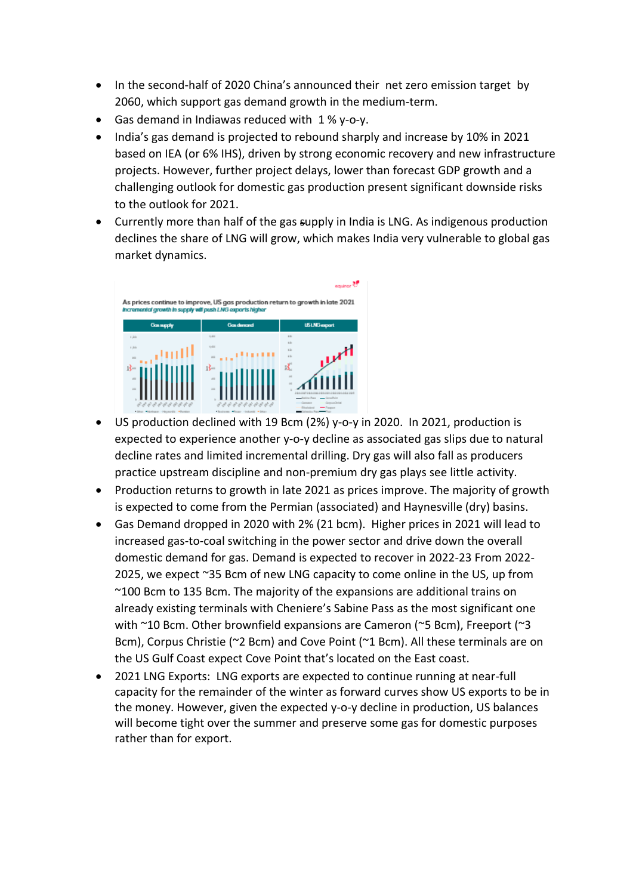- In the second-half of 2020 China's announced their net zero emission target by 2060, which support gas demand growth in the medium-term.
- Gas demand in Indiawas reduced with 1 % y-o-y.
- India's gas demand is projected to rebound sharply and increase by 10% in 2021 based on IEA (or 6% IHS), driven by strong economic recovery and new infrastructure projects. However, further project delays, lower than forecast GDP growth and a challenging outlook for domestic gas production present significant downside risks to the outlook for 2021.
- Currently more than half of the gas supply in India is LNG. As indigenous production declines the share of LNG will grow, which makes India very vulnerable to global gas market dynamics.



- US production declined with 19 Bcm (2%) y-o-y in 2020. In 2021, production is expected to experience another y-o-y decline as associated gas slips due to natural decline rates and limited incremental drilling. Dry gas will also fall as producers practice upstream discipline and non-premium dry gas plays see little activity.
- Production returns to growth in late 2021 as prices improve. The majority of growth is expected to come from the Permian (associated) and Haynesville (dry) basins.
- Gas Demand dropped in 2020 with 2% (21 bcm). Higher prices in 2021 will lead to increased gas-to-coal switching in the power sector and drive down the overall domestic demand for gas. Demand is expected to recover in 2022-23 From 2022- 2025, we expect ~35 Bcm of new LNG capacity to come online in the US, up from ~100 Bcm to 135 Bcm. The majority of the expansions are additional trains on already existing terminals with Cheniere's Sabine Pass as the most significant one with ~10 Bcm. Other brownfield expansions are Cameron (~5 Bcm), Freeport (~3 Bcm), Corpus Christie (~2 Bcm) and Cove Point (~1 Bcm). All these terminals are on the US Gulf Coast expect Cove Point that's located on the East coast.
- 2021 LNG Exports:LNG exports are expected to continue running at near-full capacity for the remainder of the winter as forward curves show US exports to be in the money. However, given the expected y-o-y decline in production, US balances will become tight over the summer and preserve some gas for domestic purposes rather than for export.